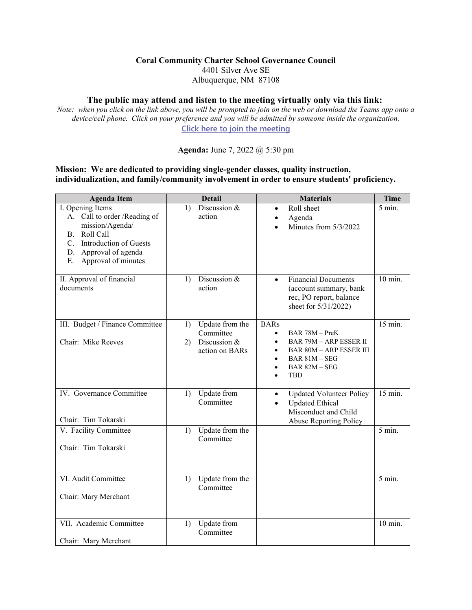## **Coral Community Charter School Governance Council**

4401 Silver Ave SE Albuquerque, NM 87108

## **The public may attend and listen to the meeting virtually only via this link:**

*Note: when you click on the link above, you will be prompted to join on the web or download the Teams app onto a device/cell phone. Click on your preference and you will be admitted by someone inside the organization.* **[Click here to join the meeting](https://teams.microsoft.com/l/meetup-join/19%3ameeting_OWEyMzY5MWItMDNlMy00NzI3LThhZjMtM2JlNzJkNzljMGI2%40thread.v2/0?context=%7b%22Tid%22%3a%22b430d3b8-ab0e-4064-ba7b-e7b513d8e1a5%22%2c%22Oid%22%3a%220eedde6c-664b-466c-aa67-f63bf53d0ff0%22%7d)**

**Agenda:** June 7, 2022 @ 5:30 pm

## **Mission: We are dedicated to providing single-gender classes, quality instruction, individualization, and family/community involvement in order to ensure students' proficiency.**

| <b>Agenda Item</b>                                                                                                                                                        | <b>Detail</b>                                                              | <b>Materials</b>                                                                                                                                                                          | <b>Time</b>       |
|---------------------------------------------------------------------------------------------------------------------------------------------------------------------------|----------------------------------------------------------------------------|-------------------------------------------------------------------------------------------------------------------------------------------------------------------------------------------|-------------------|
| I. Opening Items<br>A. Call to order /Reading of<br>mission/Agenda/<br>Roll Call<br>В.<br>C. Introduction of Guests<br>D. Approval of agenda<br>Approval of minutes<br>Е. | Discussion $&$<br>$\left( \frac{1}{2} \right)$<br>action                   | Roll sheet<br>$\bullet$<br>Agenda<br>Minutes from 5/3/2022                                                                                                                                | $5 \text{ min.}$  |
| II. Approval of financial<br>documents                                                                                                                                    | Discussion &<br>$\left( \right)$<br>action                                 | <b>Financial Documents</b><br>$\bullet$<br>(account summary, bank<br>rec, PO report, balance<br>sheet for 5/31/2022)                                                                      | $10 \text{ min.}$ |
| III. Budget / Finance Committee<br>Chair: Mike Reeves                                                                                                                     | Update from the<br>1)<br>Committee<br>Discussion &<br>2)<br>action on BARs | <b>BARs</b><br>BAR 78M - PreK<br>$\bullet$<br><b>BAR 79M - ARP ESSER II</b><br>$\bullet$<br><b>BAR 80M - ARP ESSER III</b><br>$\bullet$<br>$BAR 81M - SEG$<br>BAR 82M - SEG<br><b>TBD</b> | 15 min.           |
| IV. Governance Committee<br>Chair: Tim Tokarski                                                                                                                           | Update from<br>1)<br>Committee                                             | <b>Updated Volunteer Policy</b><br>$\bullet$<br><b>Updated Ethical</b><br>$\bullet$<br>Misconduct and Child<br>Abuse Reporting Policy                                                     | 15 min.           |
| V. Facility Committee<br>Chair: Tim Tokarski                                                                                                                              | Update from the<br>1)<br>Committee                                         |                                                                                                                                                                                           | 5 min.            |
| VI. Audit Committee<br>Chair: Mary Merchant                                                                                                                               | Update from the<br>1)<br>Committee                                         |                                                                                                                                                                                           | 5 min.            |
| VII. Academic Committee<br>Chair: Mary Merchant                                                                                                                           | Update from<br>1)<br>Committee                                             |                                                                                                                                                                                           | 10 min.           |